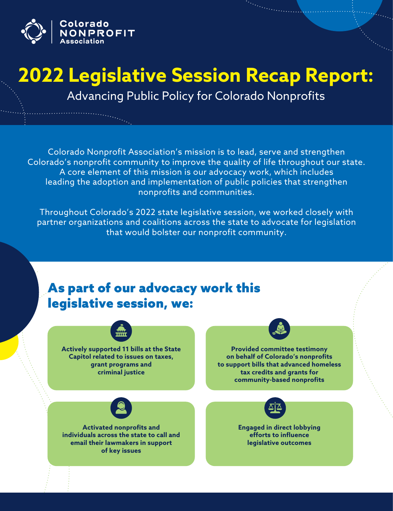

# **2022 Legislative Session Recap Report:**

Advancing Public Policy for Colorado Nonprofits

Colorado Nonprofit Association's mission is to lead, serve and strengthen Colorado's nonprofit community to improve the quality of life throughout our state. A core element of this mission is our advocacy work, which includes leading the adoption and implementation of public policies that strengthen nonprofits and communities.

Throughout Colorado's 2022 state legislative session, we worked closely with partner organizations and coalitions across the state to advocate for legislation that would bolster our nonprofit community.